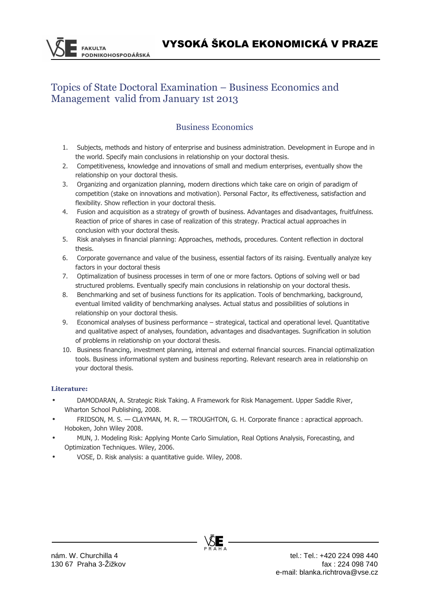# Topics of State Doctoral Examination – Business Economics and Management valid from January 1st 2013

## Business Economics

- 1. Subjects, methods and history of enterprise and business administration. Development in Europe and in the world. Specify main conclusions in relationship on your doctoral thesis.
- 2. Competitiveness, knowledge and innovations of small and medium enterprises, eventually show the relationship on your doctoral thesis.
- 3. Organizing and organization planning, modern directions which take care on origin of paradigm of competition (stake on innovations and motivation). Personal Factor, its effectiveness, satisfaction and flexibility. Show reflection in your doctoral thesis.
- 4. Fusion and acquisition as a strategy of growth of business. Advantages and disadvantages, fruitfulness. Reaction of price of shares in case of realization of this strategy. Practical actual approaches in conclusion with your doctoral thesis.
- 5. Risk analyses in financial planning: Approaches, methods, procedures. Content reflection in doctoral thesis.
- 6. Corporate governance and value of the business, essential factors of its raising. Eventually analyze key factors in your doctoral thesis
- 7. Optimalization of business processes in term of one or more factors. Options of solving well or bad structured problems. Eventually specify main conclusions in relationship on your doctoral thesis.
- 8. Benchmarking and set of business functions for its application. Tools of benchmarking, background, eventual limited validity of benchmarking analyses. Actual status and possibilities of solutions in relationship on your doctoral thesis.
- 9. Economical analyses of business performance strategical, tactical and operational level. Quantitative and qualitative aspect of analyses, foundation, advantages and disadvantages. Sugnification in solution of problems in relationship on your doctoral thesis.
- 10. Business financing, investment planning, internal and external financial sources. Financial optimalization tools. Business informational system and business reporting. Relevant research area in relationship on your doctoral thesis.

### **Literature:**

**FAKULTA** 

**ODNIKOHOSPODÁŘSKÁ** 

- DAMODARAN, A. Strategic Risk Taking. A Framework for Risk Management. Upper Saddle River, Wharton School Publishing, 2008.
- FRIDSON, M. S. CLAYMAN, M. R. TROUGHTON, G. H. Corporate finance : apractical approach. Hoboken, John Wiley 2008.
- MUN, J. Modeling Risk: Applying Monte Carlo Simulation, Real Options Analysis, Forecasting, and Optimization Techniques. Wiley, 2006.
- VOSE, D. Risk analysis: a quantitative guide. Wiley, 2008.

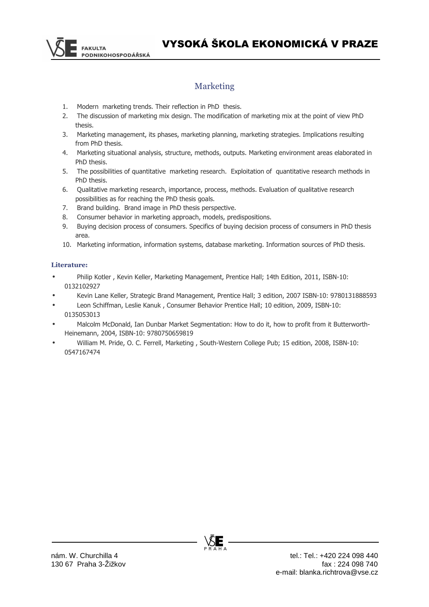

## Marketing

- 1. Modern marketing trends. Their reflection in PhD thesis.
- 2. The discussion of marketing mix design. The modification of marketing mix at the point of view PhD thesis.
- 3. Marketing management, its phases, marketing planning, marketing strategies. Implications resulting from PhD thesis.
- 4. Marketing situational analysis, structure, methods, outputs. Marketing environment areas elaborated in PhD thesis.
- 5. The possibilities of quantitative marketing research. Exploitation of quantitative research methods in PhD thesis.
- 6. Qualitative marketing research, importance, process, methods. Evaluation of qualitative research possibilities as for reaching the PhD thesis goals.
- 7. Brand building. Brand image in PhD thesis perspective.
- 8. Consumer behavior in marketing approach, models, predispositions.
- 9. Buying decision process of consumers. Specifics of buying decision process of consumers in PhD thesis area.
- 10. Marketing information, information systems, database marketing. Information sources of PhD thesis.

#### **Literature:**

- Philip Kotler , Kevin Keller, Marketing Management, Prentice Hall; 14th Edition, 2011, ISBN-10: 0132102927
- Kevin Lane Keller, Strategic Brand Management, Prentice Hall; 3 edition, 2007 ISBN-10: 9780131888593
- Leon Schiffman, Leslie Kanuk , Consumer Behavior Prentice Hall; 10 edition, 2009, ISBN-10: 0135053013
- Malcolm McDonald, Ian Dunbar Market Segmentation: How to do it, how to profit from it Butterworth-Heinemann, 2004, ISBN-10: 9780750659819
- William M. Pride, O. C. Ferrell, Marketing , South-Western College Pub; 15 edition, 2008, ISBN-10: 0547167474